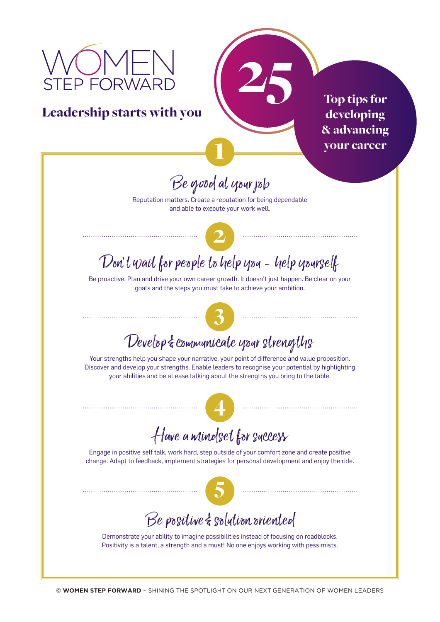# EP FORWAR

Leadership starts with you

25 Top tips for developing & advancing your career

## Be good at your job

1

Reputation matters. Create a reputation for being dependable and able to execute your work well.



### Don't wait for people to help you - help yourself

Be proactive. Plan and drive your own career growth. It doesn't just happen. Be clear on your goals and the steps you must take to achieve your ambition.



#### Develop & communicate your strengths

Your strengths help you shape your narrative, your point of difference and value proposition. Discover and develop your strengths. Enable leaders to recognise your potential by highlighting your abilities and be at ease talking about the strengths you bring to the table.



#### Have a mindset for success

Engage in positive self talk, work hard, step outside of your comfort zone and create positive change. Adapt to feedback, implement strategies for personal development and enjoy the ride.



#### Be positive & solution oriented

Demonstrate your ability to imagine possibilities instead of focusing on roadblocks. Positivity is a talent, a strength and a must! No one enjoys working with pessimists.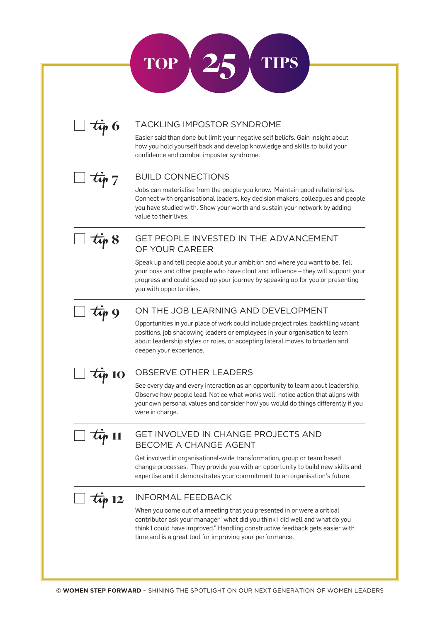|  | <b>TACKLING IMPOSTOR SYNDROME</b>                                                                                                                                                                                                                                                                   |
|--|-----------------------------------------------------------------------------------------------------------------------------------------------------------------------------------------------------------------------------------------------------------------------------------------------------|
|  | Easier said than done but limit your negative self beliefs. Gain insight about<br>how you hold yourself back and develop knowledge and skills to build your<br>confidence and combat imposter syndrome.                                                                                             |
|  | <b>BUILD CONNECTIONS</b>                                                                                                                                                                                                                                                                            |
|  | Jobs can materialise from the people you know. Maintain good relationships.<br>Connect with organisational leaders, key decision makers, colleagues and people<br>you have studied with. Show your worth and sustain your network by adding<br>value to their lives.                                |
|  | <b>GET PEOPLE INVESTED IN THE ADVANCEMENT</b><br>OF YOUR CAREER                                                                                                                                                                                                                                     |
|  | Speak up and tell people about your ambition and where you want to be. Tell<br>your boss and other people who have clout and influence - they will support your<br>progress and could speed up your journey by speaking up for you or presenting<br>you with opportunities.                         |
|  | ON THE JOB LEARNING AND DEVELOPMENT                                                                                                                                                                                                                                                                 |
|  | Opportunities in your place of work could include project roles, backfilling vacant<br>positions, job shadowing leaders or employees in your organisation to learn<br>about leadership styles or roles, or accepting lateral moves to broaden and<br>deepen your experience.                        |
|  | OBSERVE OTHER LEADERS                                                                                                                                                                                                                                                                               |
|  | See every day and every interaction as an opportunity to learn about leadership.<br>Observe how people lead. Notice what works well, notice action that aligns with<br>your own personal values and consider how you would do things differently if you<br>were in charge.                          |
|  | GET INVOLVED IN CHANGE PROJECTS AND<br><b>BECOME A CHANGE AGENT</b>                                                                                                                                                                                                                                 |
|  | Get involved in organisational-wide transformation, group or team based<br>change processes. They provide you with an opportunity to build new skills and<br>expertise and it demonstrates your commitment to an organisation's future.                                                             |
|  | <b>INFORMAL FEEDBACK</b>                                                                                                                                                                                                                                                                            |
|  | When you come out of a meeting that you presented in or were a critical<br>contributor ask your manager "what did you think I did well and what do you<br>think I could have improved." Handling constructive feedback gets easier with<br>time and is a great tool for improving your performance. |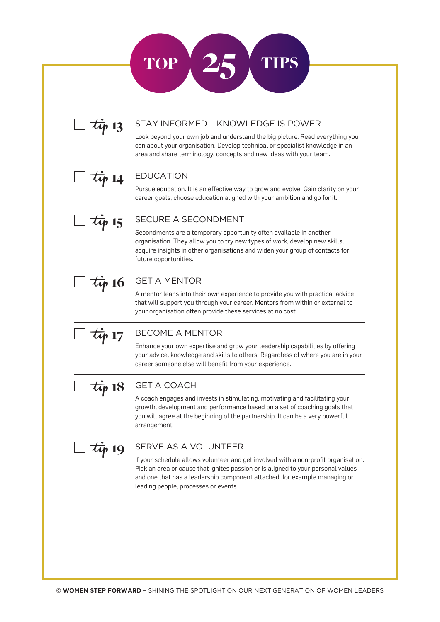